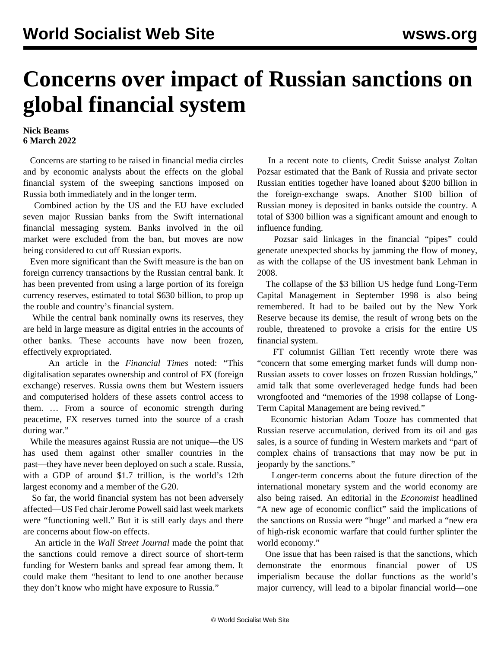## **Concerns over impact of Russian sanctions on global financial system**

## **Nick Beams 6 March 2022**

 Concerns are starting to be raised in financial media circles and by economic analysts about the effects on the global financial system of the sweeping sanctions imposed on Russia both immediately and in the longer term.

 Combined action by the US and the EU have excluded seven major Russian banks from the Swift international financial messaging system. Banks involved in the oil market were excluded from the ban, but moves are now being considered to cut off Russian exports.

 Even more significant than the Swift measure is the ban on foreign currency transactions by the Russian central bank. It has been prevented from using a large portion of its foreign currency reserves, estimated to total \$630 billion, to prop up the rouble and country's financial system.

 While the central bank nominally owns its reserves, they are held in large measure as digital entries in the accounts of other banks. These accounts have now been frozen, effectively expropriated.

 An article in the *Financial Times* noted: "This digitalisation separates ownership and control of FX (foreign exchange) reserves. Russia owns them but Western issuers and computerised holders of these assets control access to them. … From a source of economic strength during peacetime, FX reserves turned into the source of a crash during war."

 While the measures against Russia are not unique—the US has used them against other smaller countries in the past—they have never been deployed on such a scale. Russia, with a GDP of around \$1.7 trillion, is the world's 12th largest economy and a member of the G20.

 So far, the world financial system has not been adversely affected—US Fed chair Jerome Powell said last week markets were "functioning well." But it is still early days and there are concerns about flow-on effects.

 An article in the *Wall Street Journal* made the point that the sanctions could remove a direct source of short-term funding for Western banks and spread fear among them. It could make them "hesitant to lend to one another because they don't know who might have exposure to Russia."

 In a recent note to clients, Credit Suisse analyst Zoltan Pozsar estimated that the Bank of Russia and private sector Russian entities together have loaned about \$200 billion in the foreign-exchange swaps. Another \$100 billion of Russian money is deposited in banks outside the country. A total of \$300 billion was a significant amount and enough to influence funding.

 Pozsar said linkages in the financial "pipes" could generate unexpected shocks by jamming the flow of money, as with the collapse of the US investment bank Lehman in 2008.

 The collapse of the \$3 billion US hedge fund Long-Term Capital Management in September 1998 is also being remembered. It had to be bailed out by the New York Reserve because its demise, the result of wrong bets on the rouble, threatened to provoke a crisis for the entire US financial system.

 FT columnist Gillian Tett recently wrote there was "concern that some emerging market funds will dump non-Russian assets to cover losses on frozen Russian holdings," amid talk that some overleveraged hedge funds had been wrongfooted and "memories of the 1998 collapse of Long-Term Capital Management are being revived."

 Economic historian Adam Tooze has commented that Russian reserve accumulation, derived from its oil and gas sales, is a source of funding in Western markets and "part of complex chains of transactions that may now be put in jeopardy by the sanctions."

 Longer-term concerns about the future direction of the international monetary system and the world economy are also being raised. An editorial in the *Economist* headlined "A new age of economic conflict" said the implications of the sanctions on Russia were "huge" and marked a "new era of high-risk economic warfare that could further splinter the world economy."

 One issue that has been raised is that the sanctions, which demonstrate the enormous financial power of US imperialism because the dollar functions as the world's major currency, will lead to a bipolar financial world—one